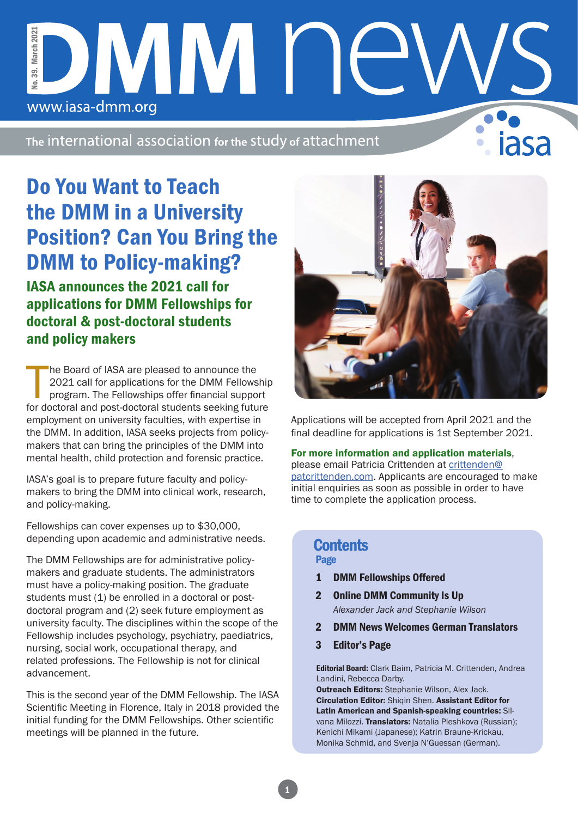### No. 39. March 2021 March 2021 DMM NE No. 39. www.iasa-dmm.org

The international association for the study of attachment

# Do You Want to Teach the DMM in a University Position? Can You Bring the DMM to Policy-making?

IASA announces the 2021 call for applications for DMM Fellowships for doctoral & post-doctoral students and policy makers

The Board of IASA are pleased to announce the<br>2021 call for applications for the DMM Fellowship<br>program. The Fellowships offer financial support<br>for doctoral and post-doctoral students seeking future he Board of IASA are pleased to announce the 2021 call for applications for the DMM Fellowship program. The Fellowships offer financial support employment on university faculties, with expertise in the DMM. In addition, IASA seeks projects from policymakers that can bring the principles of the DMM into mental health, child protection and forensic practice.

IASA's goal is to prepare future faculty and policymakers to bring the DMM into clinical work, research, and policy-making.

Fellowships can cover expenses up to \$30,000, depending upon academic and administrative needs.

The DMM Fellowships are for administrative policymakers and graduate students. The administrators must have a policy-making position. The graduate students must (1) be enrolled in a doctoral or postdoctoral program and (2) seek future employment as university faculty. The disciplines within the scope of the Fellowship includes psychology, psychiatry, paediatrics, nursing, social work, occupational therapy, and related professions. The Fellowship is not for clinical advancement.

This is the second year of the DMM Fellowship. The IASA Scientific Meeting in Florence, Italy in 2018 provided the initial funding for the DMM Fellowships. Other scientific meetings will be planned in the future.



Applications will be accepted from April 2021 and the final deadline for applications is 1st September 2021.

#### For more information and application materials,

please email Patricia Crittenden at crittenden@ patcrittenden.com. Applicants are encouraged to make initial enquiries as soon as possible in order to have time to complete the application process.

#### Page **Contents**

- 1 DMM Fellowships Offered
- 2 Online DMM Community Is Up *Alexander Jack and Stephanie Wilson*
- 2 DMM News Welcomes German Translators
- 3 Editor's Page

Editorial Board: Clark Baim, Patricia M. Crittenden, Andrea Landini, Rebecca Darby.

Outreach Editors: Stephanie Wilson, Alex Jack. Circulation Editor: Shigin Shen. Assistant Editor for Latin American and Spanish-speaking countries: Silvana Milozzi. Translators: Natalia Pleshkova (Russian); Kenichi Mikami (Japanese); Katrin Braune-Krickau, Monika Schmid, and Svenja N'Guessan (German).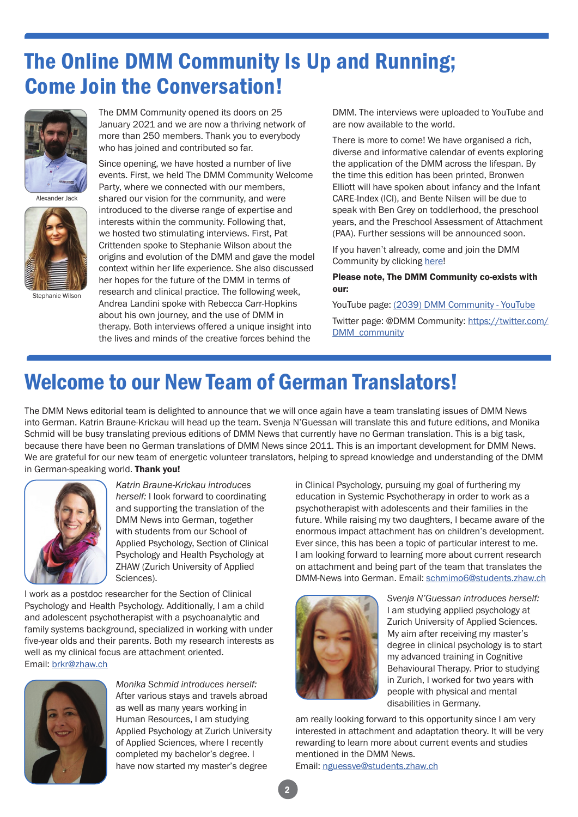## The Online DMM Community Is Up and Running; Come Join the Conversation!



Alexander Jack



Stephanie Wilson

The DMM Community opened its doors on 25 January 2021 and we are now a thriving network of more than 250 members. Thank you to everybody who has joined and contributed so far.

Since opening, we have hosted a number of live events. First, we held The DMM Community Welcome Party, where we connected with our members, shared our vision for the community, and were introduced to the diverse range of expertise and interests within the community. Following that, we hosted two stimulating interviews. First, Pat Crittenden spoke to Stephanie Wilson about the origins and evolution of the DMM and gave the model context within her life experience. She also discussed her hopes for the future of the DMM in terms of research and clinical practice. The following week, Andrea Landini spoke with Rebecca Carr-Hopkins about his own journey, and the use of DMM in therapy. Both interviews offered a unique insight into the lives and minds of the creative forces behind the

DMM. The interviews were uploaded to YouTube and are now available to the world.

There is more to come! We have organised a rich, diverse and informative calendar of events exploring the application of the DMM across the lifespan. By the time this edition has been printed, Bronwen Elliott will have spoken about infancy and the Infant CARE-Index (ICI), and Bente Nilsen will be due to speak with Ben Grey on toddlerhood, the preschool years, and the Preschool Assessment of Attachment (PAA). Further sessions will be announced soon.

If you haven't already, come and join the DMM Community by clicking here!

#### Please note, The DMM Community co-exists with our:

YouTube page: (2039) DMM Community - YouTube

Twitter page: @DMM Community: https://twitter.com/ DMM\_community

## Welcome to our New Team of German Translators!

The DMM News editorial team is delighted to announce that we will once again have a team translating issues of DMM News into German. Katrin Braune-Krickau will head up the team. Svenja N'Guessan will translate this and future editions, and Monika Schmid will be busy translating previous editions of DMM News that currently have no German translation. This is a big task, because there have been no German translations of DMM News since 2011. This is an important development for DMM News. We are grateful for our new team of energetic volunteer translators, helping to spread knowledge and understanding of the DMM in German-speaking world. Thank you!



*Katrin Braune-Krickau introduces herself:* I look forward to coordinating and supporting the translation of the DMM News into German, together with students from our School of Applied Psychology, Section of Clinical Psychology and Health Psychology at ZHAW (Zurich University of Applied Sciences).

I work as a postdoc researcher for the Section of Clinical Psychology and Health Psychology. Additionally, I am a child and adolescent psychotherapist with a psychoanalytic and family systems background, specialized in working with under five-year olds and their parents. Both my research interests as well as my clinical focus are attachment oriented. Email: brkr@zhaw.ch



*Monika Schmid introduces herself:*  After various stays and travels abroad as well as many years working in Human Resources, I am studying Applied Psychology at Zurich University of Applied Sciences, where I recently completed my bachelor's degree. I have now started my master's degree

in Clinical Psychology, pursuing my goal of furthering my education in Systemic Psychotherapy in order to work as a psychotherapist with adolescents and their families in the future. While raising my two daughters, I became aware of the enormous impact attachment has on children's development. Ever since, this has been a topic of particular interest to me. I am looking forward to learning more about current research on attachment and being part of the team that translates the DMM-News into German. Email: schmimo6@students.zhaw.ch



*Svenja N'Guessan introduces herself:*  I am studying applied psychology at Zurich University of Applied Sciences. My aim after receiving my master's degree in clinical psychology is to start my advanced training in Cognitive Behavioural Therapy. Prior to studying in Zurich, I worked for two years with people with physical and mental disabilities in Germany.

am really looking forward to this opportunity since I am very interested in attachment and adaptation theory. It will be very rewarding to learn more about current events and studies mentioned in the DMM News.

Email: nguessve@students.zhaw.ch